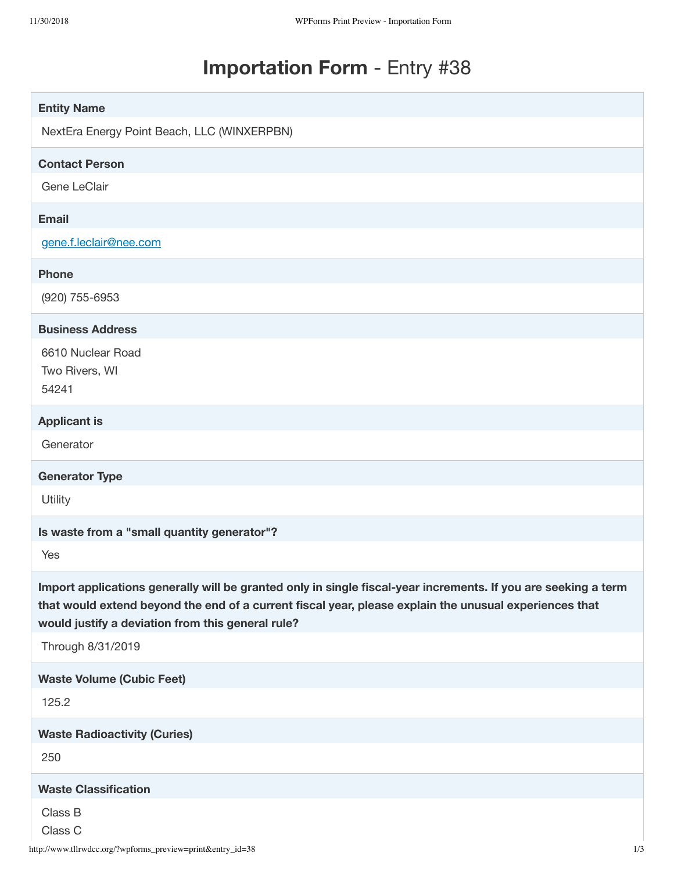# **Importation Form** - Entry #38

| <b>Entity Name</b>                                                                                                                                                                                                                                                            |
|-------------------------------------------------------------------------------------------------------------------------------------------------------------------------------------------------------------------------------------------------------------------------------|
| NextEra Energy Point Beach, LLC (WINXERPBN)                                                                                                                                                                                                                                   |
| <b>Contact Person</b>                                                                                                                                                                                                                                                         |
| Gene LeClair                                                                                                                                                                                                                                                                  |
| <b>Email</b>                                                                                                                                                                                                                                                                  |
| gene.f.leclair@nee.com                                                                                                                                                                                                                                                        |
| <b>Phone</b>                                                                                                                                                                                                                                                                  |
| (920) 755-6953                                                                                                                                                                                                                                                                |
| <b>Business Address</b>                                                                                                                                                                                                                                                       |
| 6610 Nuclear Road                                                                                                                                                                                                                                                             |
| Two Rivers, WI<br>54241                                                                                                                                                                                                                                                       |
|                                                                                                                                                                                                                                                                               |
| <b>Applicant is</b><br>Generator                                                                                                                                                                                                                                              |
|                                                                                                                                                                                                                                                                               |
|                                                                                                                                                                                                                                                                               |
| <b>Generator Type</b>                                                                                                                                                                                                                                                         |
| Utility                                                                                                                                                                                                                                                                       |
| Is waste from a "small quantity generator"?                                                                                                                                                                                                                                   |
| Yes                                                                                                                                                                                                                                                                           |
| Import applications generally will be granted only in single fiscal-year increments. If you are seeking a term<br>that would extend beyond the end of a current fiscal year, please explain the unusual experiences that<br>would justify a deviation from this general rule? |
| Through 8/31/2019                                                                                                                                                                                                                                                             |
| <b>Waste Volume (Cubic Feet)</b>                                                                                                                                                                                                                                              |
| 125.2                                                                                                                                                                                                                                                                         |
| <b>Waste Radioactivity (Curies)</b>                                                                                                                                                                                                                                           |
| 250                                                                                                                                                                                                                                                                           |
| <b>Waste Classification</b>                                                                                                                                                                                                                                                   |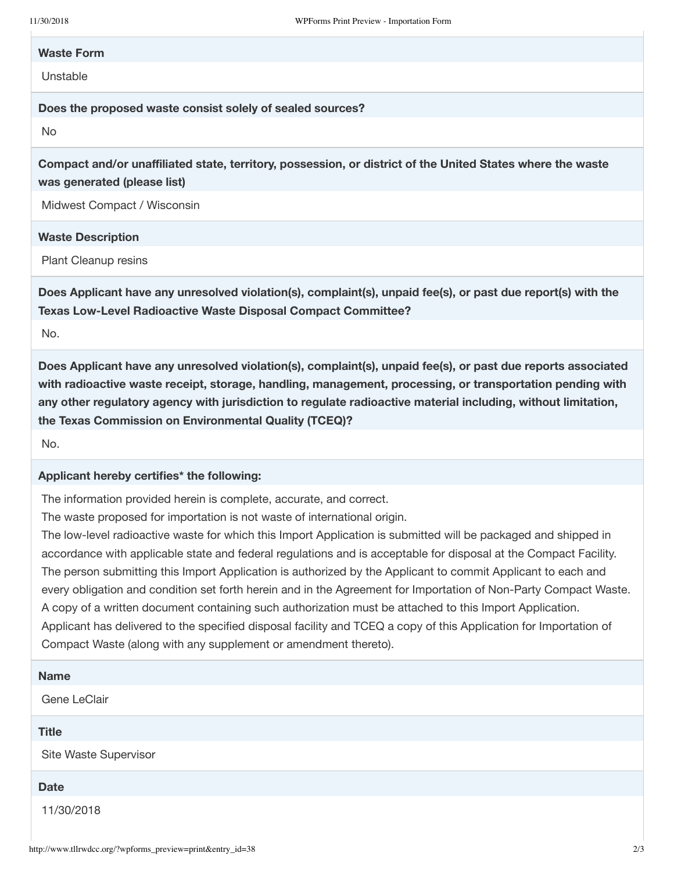#### **Waste Form**

Unstable

**Does the proposed waste consist solely of sealed sources?**

No

**Compact and/or unaffiliated state, territory, possession, or district of the United States where the waste was generated (please list)**

Midwest Compact / Wisconsin

#### **Waste Description**

Plant Cleanup resins

**Does Applicant have any unresolved violation(s), complaint(s), unpaid fee(s), or past due report(s) with the Texas Low-Level Radioactive Waste Disposal Compact Committee?**

No.

**Does Applicant have any unresolved violation(s), complaint(s), unpaid fee(s), or past due reports associated with radioactive waste receipt, storage, handling, management, processing, or transportation pending with any other regulatory agency with jurisdiction to regulate radioactive material including, without limitation, the Texas Commission on Environmental Quality (TCEQ)?**

No.

## **Applicant hereby certifies\* the following:**

The information provided herein is complete, accurate, and correct.

The waste proposed for importation is not waste of international origin.

The low-level radioactive waste for which this Import Application is submitted will be packaged and shipped in accordance with applicable state and federal regulations and is acceptable for disposal at the Compact Facility. The person submitting this Import Application is authorized by the Applicant to commit Applicant to each and every obligation and condition set forth herein and in the Agreement for Importation of Non-Party Compact Waste. A copy of a written document containing such authorization must be attached to this Import Application. Applicant has delivered to the specified disposal facility and TCEQ a copy of this Application for Importation of Compact Waste (along with any supplement or amendment thereto).

## **Name**

Gene LeClair

# **Title**

Site Waste Supervisor

### **Date**

11/30/2018